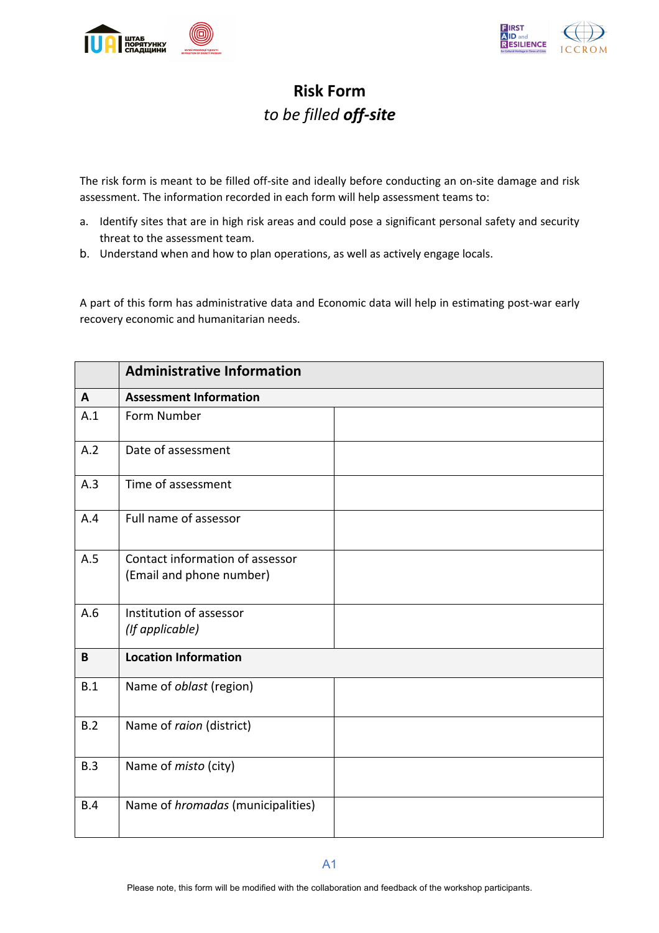



## **Risk Form** *to be filled off-site*

The risk form is meant to be filled off-site and ideally before conducting an on-site damage and risk assessment. The information recorded in each form will help assessment teams to:

- a. Identify sites that are in high risk areas and could pose a significant personal safety and security threat to the assessment team.
- b. Understand when and how to plan operations, as well as actively engage locals.

A part of this form has administrative data and Economic data will help in estimating post-war early recovery economic and humanitarian needs.

|            | <b>Administrative Information</b>                           |  |
|------------|-------------------------------------------------------------|--|
| A          | <b>Assessment Information</b>                               |  |
| A.1        | Form Number                                                 |  |
| A.2        | Date of assessment                                          |  |
| A.3        | Time of assessment                                          |  |
| A.4        | Full name of assessor                                       |  |
| A.5        | Contact information of assessor<br>(Email and phone number) |  |
| A.6        | Institution of assessor<br>(If applicable)                  |  |
| B          | <b>Location Information</b>                                 |  |
| B.1        | Name of oblast (region)                                     |  |
| B.2        | Name of raion (district)                                    |  |
| B.3        | Name of misto (city)                                        |  |
| <b>B.4</b> | Name of <i>hromadas</i> (municipalities)                    |  |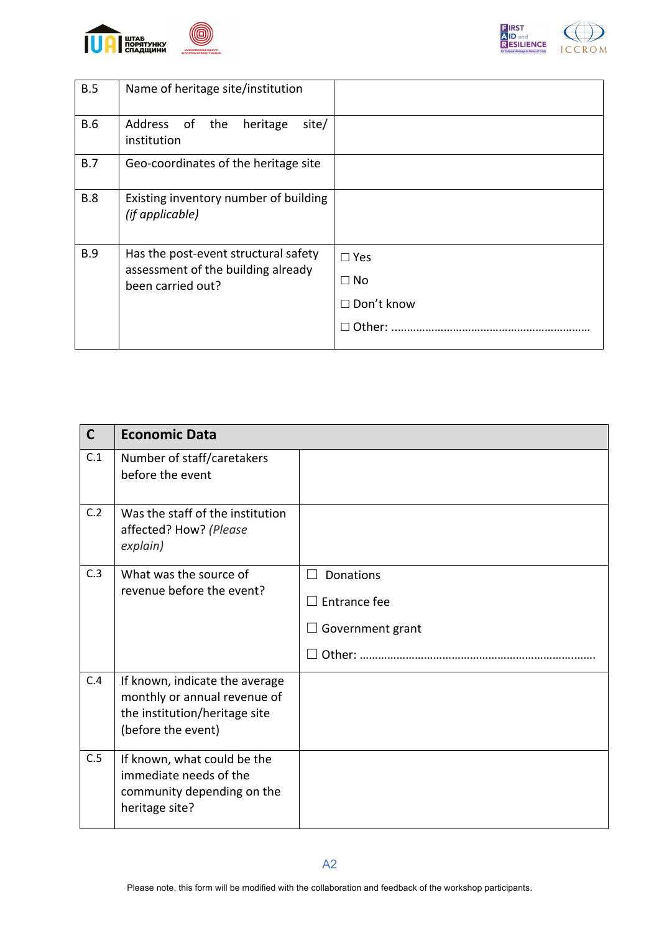



| B.5        | Name of heritage site/institution                                          |                   |
|------------|----------------------------------------------------------------------------|-------------------|
| <b>B.6</b> | Address of the<br>heritage<br>site/<br>institution                         |                   |
| B.7        | Geo-coordinates of the heritage site                                       |                   |
| <b>B.8</b> | Existing inventory number of building<br>(if applicable)                   |                   |
| <b>B.9</b> | Has the post-event structural safety<br>assessment of the building already | $\Box$ Yes        |
|            | been carried out?                                                          | $\Box$ No         |
|            |                                                                            | $\Box$ Don't know |
|            |                                                                            | Other:            |

| $\mathsf{C}$ | <b>Economic Data</b>                                                                                                  |                                |
|--------------|-----------------------------------------------------------------------------------------------------------------------|--------------------------------|
| C.1          | Number of staff/caretakers<br>before the event                                                                        |                                |
| C.2          | Was the staff of the institution<br>affected? How? (Please<br>explain)                                                |                                |
| C.3          | What was the source of<br>revenue before the event?                                                                   | Donations<br>$\vert \ \ \vert$ |
|              |                                                                                                                       | Entrance fee                   |
|              |                                                                                                                       | Government grant               |
|              |                                                                                                                       |                                |
| C.4          | If known, indicate the average<br>monthly or annual revenue of<br>the institution/heritage site<br>(before the event) |                                |
| C.5          | If known, what could be the<br>immediate needs of the<br>community depending on the<br>heritage site?                 |                                |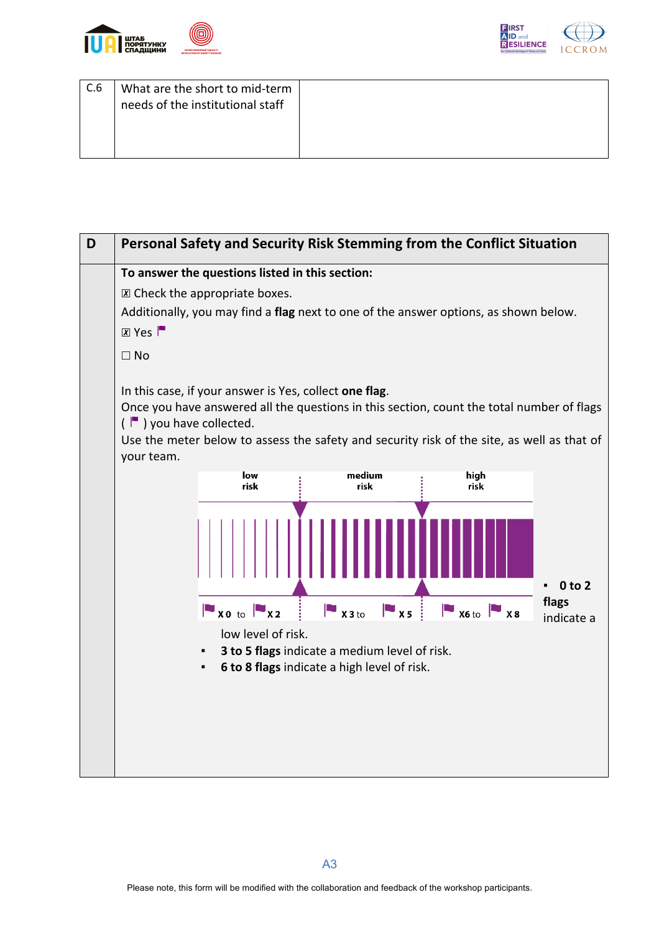



| C.6 | What are the short to mid-term<br>needs of the institutional staff |  |
|-----|--------------------------------------------------------------------|--|
|     |                                                                    |  |

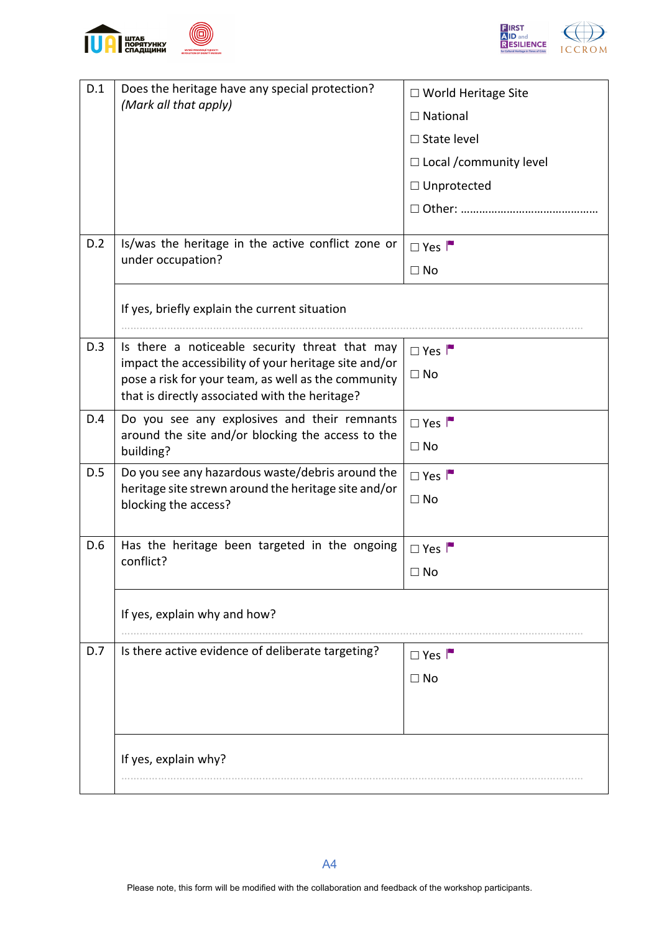



|     |                                                                                                                                                  | $\Box$ World Heritage Site     |
|-----|--------------------------------------------------------------------------------------------------------------------------------------------------|--------------------------------|
|     | (Mark all that apply)                                                                                                                            | $\Box$ National                |
|     |                                                                                                                                                  | $\Box$ State level             |
|     |                                                                                                                                                  | $\Box$ Local / community level |
|     |                                                                                                                                                  | $\Box$ Unprotected             |
|     |                                                                                                                                                  |                                |
| D.2 | Is/was the heritage in the active conflict zone or                                                                                               |                                |
|     | under occupation?                                                                                                                                | $\Box$ Yes                     |
|     |                                                                                                                                                  | $\Box$ No                      |
|     | If yes, briefly explain the current situation                                                                                                    |                                |
| D.3 | Is there a noticeable security threat that may                                                                                                   | $\Box$ Yes                     |
|     | impact the accessibility of your heritage site and/or                                                                                            | $\Box$ No                      |
|     | that is directly associated with the heritage?                                                                                                   |                                |
| D.4 | Do you see any explosives and their remnants                                                                                                     | $\Box$ Yes                     |
|     | around the site and/or blocking the access to the<br>building?                                                                                   | $\Box$ No                      |
| D.5 | Do you see any hazardous waste/debris around the                                                                                                 | $\Box$ Yes                     |
|     |                                                                                                                                                  | $\Box$ No                      |
|     |                                                                                                                                                  |                                |
| D.6 | Has the heritage been targeted in the ongoing                                                                                                    | $\Box$ Yes                     |
|     |                                                                                                                                                  | $\Box$ No                      |
|     | If yes, explain why and how?                                                                                                                     |                                |
|     |                                                                                                                                                  |                                |
| D.7 | Is there active evidence of deliberate targeting?                                                                                                | $\Box$ Yes                     |
|     |                                                                                                                                                  | $\Box$ No                      |
|     |                                                                                                                                                  |                                |
|     |                                                                                                                                                  |                                |
|     | If yes, explain why?                                                                                                                             |                                |
|     |                                                                                                                                                  |                                |
|     | pose a risk for your team, as well as the community<br>heritage site strewn around the heritage site and/or<br>blocking the access?<br>conflict? |                                |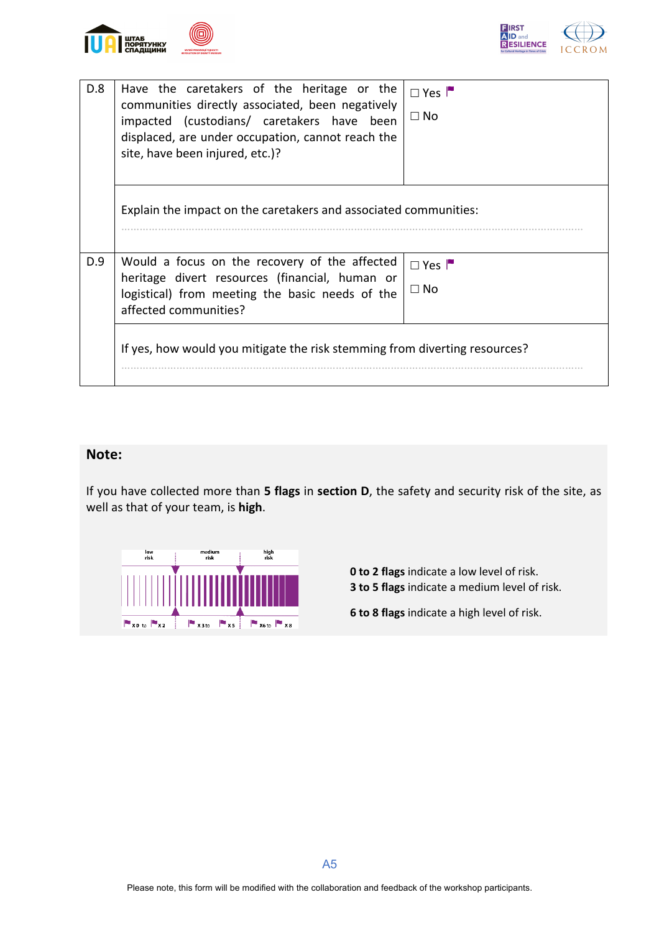



| D.8 | Have the caretakers of the heritage or the<br>communities directly associated, been negatively<br>impacted (custodians/ caretakers have been<br>displaced, are under occupation, cannot reach the<br>site, have been injured, etc.)? | $\Box$ Yes<br>$\Box$ No |  |
|-----|--------------------------------------------------------------------------------------------------------------------------------------------------------------------------------------------------------------------------------------|-------------------------|--|
|     | Explain the impact on the caretakers and associated communities:                                                                                                                                                                     |                         |  |
| D.9 | Would a focus on the recovery of the affected<br>heritage divert resources (financial, human or<br>logistical) from meeting the basic needs of the<br>affected communities?                                                          | $\Box$ Yes<br>$\Box$ No |  |
|     | If yes, how would you mitigate the risk stemming from diverting resources?                                                                                                                                                           |                         |  |

## **Note:**

If you have collected more than **5 flags** in **section D**, the safety and security risk of the site, as well as that of your team, is **high**.



**0 to 2 flags** indicate a low level of risk. **3 to 5 flags** indicate a medium level of risk.

**6 to 8 flags** indicate a high level of risk.